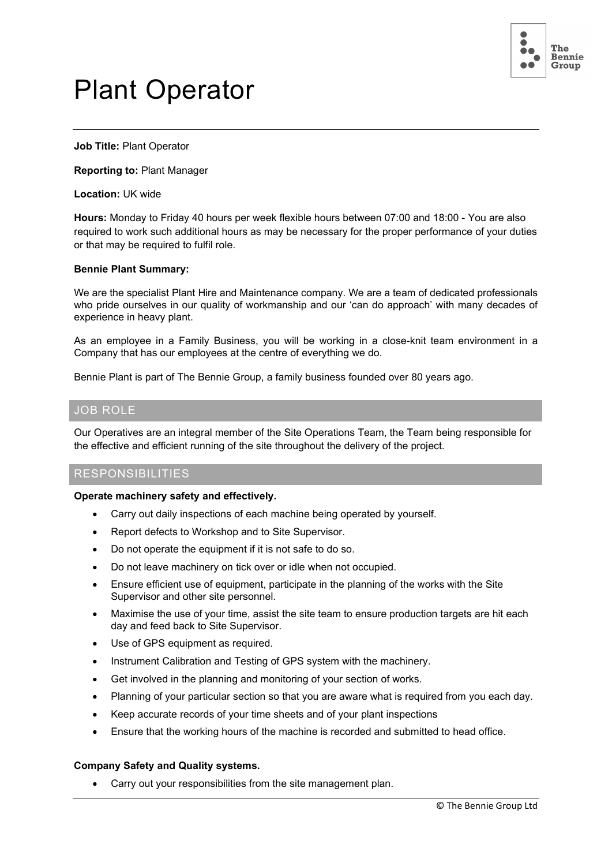

# Plant Operator

**Job Title:** Plant Operator

**Reporting to:** Plant Manager

**Location:** UK wide

**Hours:** Monday to Friday 40 hours per week flexible hours between 07:00 and 18:00 - You are also required to work such additional hours as may be necessary for the proper performance of your duties or that may be required to fulfil role.

## **Bennie Plant Summary:**

We are the specialist Plant Hire and Maintenance company. We are a team of dedicated professionals who pride ourselves in our quality of workmanship and our 'can do approach' with many decades of experience in heavy plant.

As an employee in a Family Business, you will be working in a close-knit team environment in a Company that has our employees at the centre of everything we do.

Bennie Plant is part of The Bennie Group, a family business founded over 80 years ago.

# JOB ROLE

Our Operatives are an integral member of the Site Operations Team, the Team being responsible for the effective and efficient running of the site throughout the delivery of the project.

# RESPONSIBILITIES

**Operate machinery safety and effectively.**

- Carry out daily inspections of each machine being operated by yourself.
- Report defects to Workshop and to Site Supervisor.
- Do not operate the equipment if it is not safe to do so.
- Do not leave machinery on tick over or idle when not occupied.
- Ensure efficient use of equipment, participate in the planning of the works with the Site Supervisor and other site personnel.
- Maximise the use of your time, assist the site team to ensure production targets are hit each day and feed back to Site Supervisor.
- Use of GPS equipment as required.
- Instrument Calibration and Testing of GPS system with the machinery.
- Get involved in the planning and monitoring of your section of works.
- Planning of your particular section so that you are aware what is required from you each day.
- Keep accurate records of your time sheets and of your plant inspections
- Ensure that the working hours of the machine is recorded and submitted to head office.

## **Company Safety and Quality systems.**

• Carry out your responsibilities from the site management plan.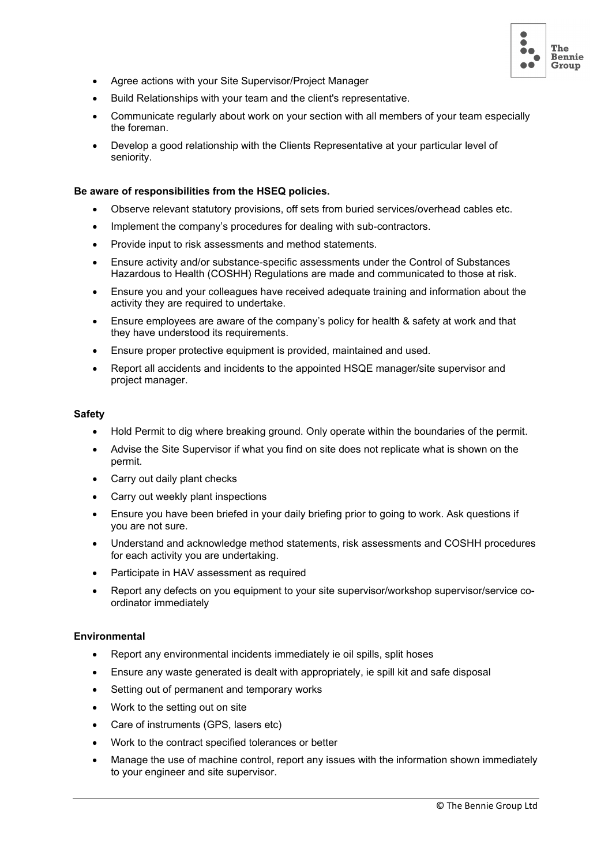

- Agree actions with your Site Supervisor/Project Manager
- Build Relationships with your team and the client's representative.
- Communicate regularly about work on your section with all members of your team especially the foreman.
- Develop a good relationship with the Clients Representative at your particular level of seniority.

#### **Be aware of responsibilities from the HSEQ policies.**

- Observe relevant statutory provisions, off sets from buried services/overhead cables etc.
- Implement the company's procedures for dealing with sub-contractors.
- Provide input to risk assessments and method statements.
- Ensure activity and/or substance-specific assessments under the Control of Substances Hazardous to Health (COSHH) Regulations are made and communicated to those at risk.
- Ensure you and your colleagues have received adequate training and information about the activity they are required to undertake.
- Ensure employees are aware of the company's policy for health & safety at work and that they have understood its requirements.
- Ensure proper protective equipment is provided, maintained and used.
- Report all accidents and incidents to the appointed HSQE manager/site supervisor and project manager.

#### **Safety**

- Hold Permit to dig where breaking ground. Only operate within the boundaries of the permit.
- Advise the Site Supervisor if what you find on site does not replicate what is shown on the permit.
- Carry out daily plant checks
- Carry out weekly plant inspections
- Ensure you have been briefed in your daily briefing prior to going to work. Ask questions if you are not sure.
- Understand and acknowledge method statements, risk assessments and COSHH procedures for each activity you are undertaking.
- Participate in HAV assessment as required
- Report any defects on you equipment to your site supervisor/workshop supervisor/service coordinator immediately

## **Environmental**

- Report any environmental incidents immediately ie oil spills, split hoses
- Ensure any waste generated is dealt with appropriately, ie spill kit and safe disposal
- Setting out of permanent and temporary works
- Work to the setting out on site
- Care of instruments (GPS, lasers etc)
- Work to the contract specified tolerances or better
- Manage the use of machine control, report any issues with the information shown immediately to your engineer and site supervisor.